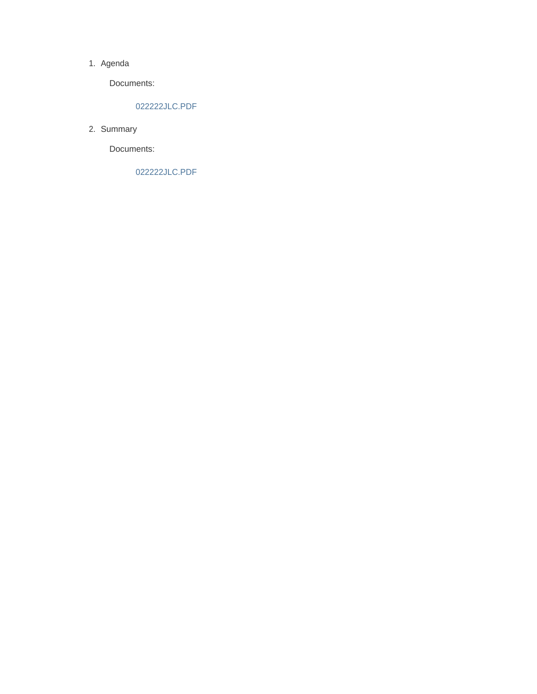#### 1. Agenda

Documents:

#### 022222JLC.PDF

2. Summary

Documents:

022222JLC.PDF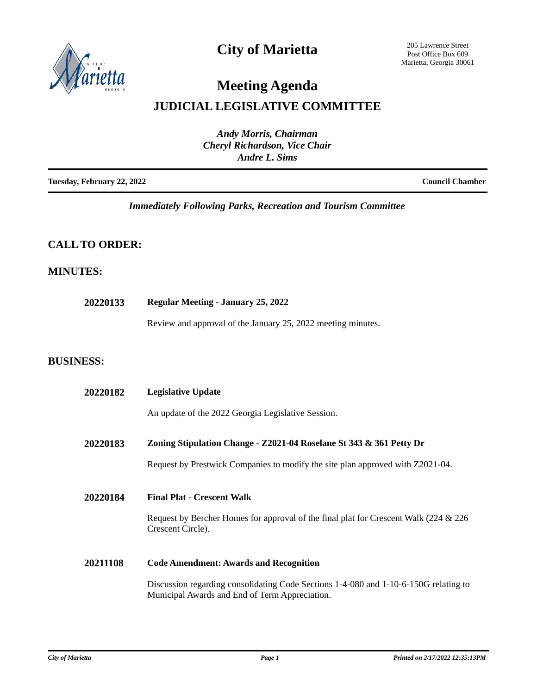

## **City of Marietta**

205 Lawrence Street Post Office Box 609 Marietta, Georgia 30061

# **Meeting Agenda**

### **JUDICIAL LEGISLATIVE COMMITTEE**

| <b>Andy Morris, Chairman</b><br><b>Cheryl Richardson, Vice Chair</b><br>Andre L. Sims |                        |
|---------------------------------------------------------------------------------------|------------------------|
| Tuesday, February 22, 2022                                                            | <b>Council Chamber</b> |

*Immediately Following Parks, Recreation and Tourism Committee*

### **CALL TO ORDER:**

#### **MINUTES:**

| 20220133 | <b>Regular Meeting - January 25, 2022</b>                    |  |
|----------|--------------------------------------------------------------|--|
|          | Review and approval of the January 25, 2022 meeting minutes. |  |
| LCC.     |                                                              |  |

#### **BUSINESS:**

| 20220182 | <b>Legislative Update</b>                                                                                                              |
|----------|----------------------------------------------------------------------------------------------------------------------------------------|
|          | An update of the 2022 Georgia Legislative Session.                                                                                     |
| 20220183 | Zoning Stipulation Change - Z2021-04 Roselane St 343 & 361 Petty Dr                                                                    |
|          | Request by Prestwick Companies to modify the site plan approved with Z2021-04.                                                         |
| 20220184 | <b>Final Plat - Crescent Walk</b>                                                                                                      |
|          | Request by Bercher Homes for approval of the final plat for Crescent Walk (224 & 226)<br>Crescent Circle).                             |
| 20211108 | <b>Code Amendment: Awards and Recognition</b>                                                                                          |
|          | Discussion regarding consolidating Code Sections 1-4-080 and 1-10-6-150G relating to<br>Municipal Awards and End of Term Appreciation. |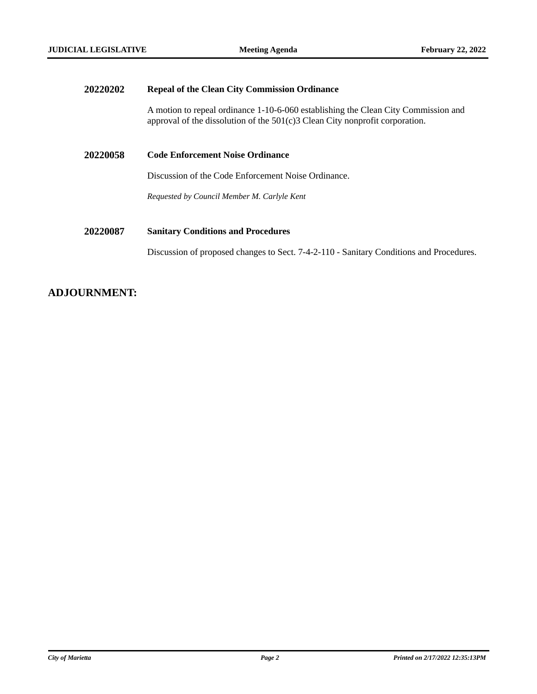**COMMITTEE** 

| 20220202 | <b>Repeal of the Clean City Commission Ordinance</b>                                                                                                                 |
|----------|----------------------------------------------------------------------------------------------------------------------------------------------------------------------|
|          | A motion to repeal ordinance 1-10-6-060 establishing the Clean City Commission and<br>approval of the dissolution of the $501(c)3$ Clean City nonprofit corporation. |
| 20220058 | <b>Code Enforcement Noise Ordinance</b>                                                                                                                              |
|          | Discussion of the Code Enforcement Noise Ordinance.                                                                                                                  |
|          | Requested by Council Member M. Carlyle Kent                                                                                                                          |
|          |                                                                                                                                                                      |
| 20220087 | <b>Sanitary Conditions and Procedures</b>                                                                                                                            |
|          | Discussion of proposed changes to Sect. 7-4-2-110 - Sanitary Conditions and Procedures.                                                                              |

### **ADJOURNMENT:**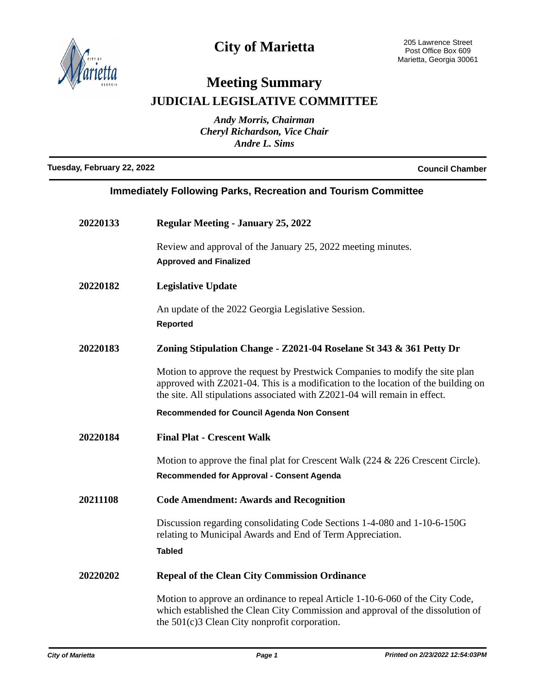

## **City of Marietta**

## **Meeting Summary JUDICIAL LEGISLATIVE COMMITTEE**

*Andy Morris, Chairman Cheryl Richardson, Vice Chair Andre L. Sims*

**Tuesday, February 22, 2022 Council Chamber**

| <b>Immediately Following Parks, Recreation and Tourism Committee</b> |                                                                                                                                                                                                                                                 |  |
|----------------------------------------------------------------------|-------------------------------------------------------------------------------------------------------------------------------------------------------------------------------------------------------------------------------------------------|--|
| 20220133                                                             | <b>Regular Meeting - January 25, 2022</b>                                                                                                                                                                                                       |  |
|                                                                      | Review and approval of the January 25, 2022 meeting minutes.<br><b>Approved and Finalized</b>                                                                                                                                                   |  |
| 20220182                                                             | <b>Legislative Update</b>                                                                                                                                                                                                                       |  |
|                                                                      | An update of the 2022 Georgia Legislative Session.<br><b>Reported</b>                                                                                                                                                                           |  |
| 20220183                                                             | Zoning Stipulation Change - Z2021-04 Roselane St 343 & 361 Petty Dr                                                                                                                                                                             |  |
|                                                                      | Motion to approve the request by Prestwick Companies to modify the site plan<br>approved with Z2021-04. This is a modification to the location of the building on<br>the site. All stipulations associated with Z2021-04 will remain in effect. |  |
|                                                                      | Recommended for Council Agenda Non Consent                                                                                                                                                                                                      |  |
| 20220184                                                             | <b>Final Plat - Crescent Walk</b>                                                                                                                                                                                                               |  |
|                                                                      | Motion to approve the final plat for Crescent Walk $(224 \& 226$ Crescent Circle).<br>Recommended for Approval - Consent Agenda                                                                                                                 |  |
| 20211108                                                             | <b>Code Amendment: Awards and Recognition</b>                                                                                                                                                                                                   |  |
|                                                                      | Discussion regarding consolidating Code Sections 1-4-080 and 1-10-6-150G<br>relating to Municipal Awards and End of Term Appreciation.                                                                                                          |  |
|                                                                      | <b>Tabled</b>                                                                                                                                                                                                                                   |  |
| 20220202                                                             | <b>Repeal of the Clean City Commission Ordinance</b>                                                                                                                                                                                            |  |
|                                                                      | Motion to approve an ordinance to repeal Article 1-10-6-060 of the City Code,<br>which established the Clean City Commission and approval of the dissolution of                                                                                 |  |

the 501(c)3 Clean City nonprofit corporation.